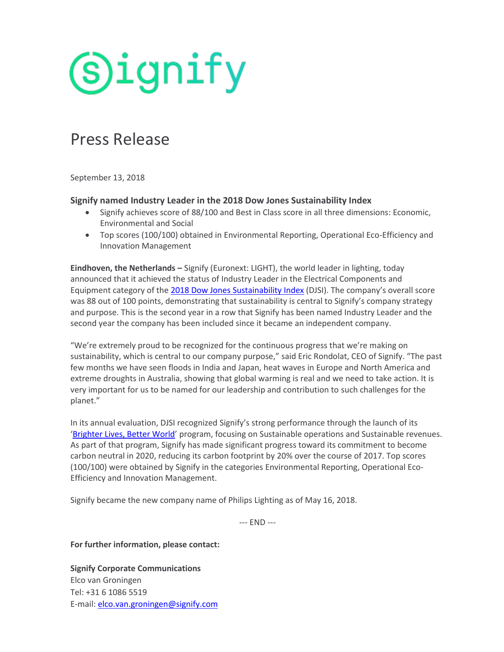# (S)ignify

### Press Release

September 13, 2018

#### **Signify named Industry Leader in the 2018 Dow Jones Sustainability Index**

- Signify achieves score of 88/100 and Best in Class score in all three dimensions: Economic, Environmental and Social
- Top scores (100/100) obtained in Environmental Reporting, Operational Eco-Efficiency and Innovation Management

**Eindhoven, the Netherlands –** Signify (Euronext: LIGHT), the world leader in lighting, today announced that it achieved the status of Industry Leader in the Electrical Components and Equipment category of the 2018 [Dow Jones Sustainability Index](http://www.robecosam.com/images/IndustryLeader_DJSI2018_Signify_NV.pdf) (DJSI). The company's overall score was 88 out of 100 points, demonstrating that sustainability is central to Signify's company strategy and purpose. This is the second year in a row that Signify has been named Industry Leader and the second year the company has been included since it became an independent company.

"We're extremely proud to be recognized for the continuous progress that we're making on sustainability, which is central to our company purpose," said Eric Rondolat, CEO of Signify. "The past few months we have seen floods in India and Japan, heat waves in Europe and North America and extreme droughts in Australia, showing that global warming is real and we need to take action. It is very important for us to be named for our leadership and contribution to such challenges for the planet."

In its annual evaluation, DJSI recognized Signify's strong performance through the launch of its '[Brighter Lives, Better World](https://www.signify.com/global/sustainability)' program, focusing on Sustainable operations and Sustainable revenues. As part of that program, Signify has made significant progress toward its commitment to become carbon neutral in 2020, reducing its carbon footprint by 20% over the course of 2017. Top scores (100/100) were obtained by Signify in the categories Environmental Reporting, Operational Eco-Efficiency and Innovation Management.

Signify became the new company name of Philips Lighting as of May 16, 2018.

--- END ---

**For further information, please contact:**

**Signify Corporate Communications** Elco van Groningen Tel: +31 6 1086 5519 E-mail: [elco.van.groningen@signify.com](mailto:elco.van.groningen@signify.com)